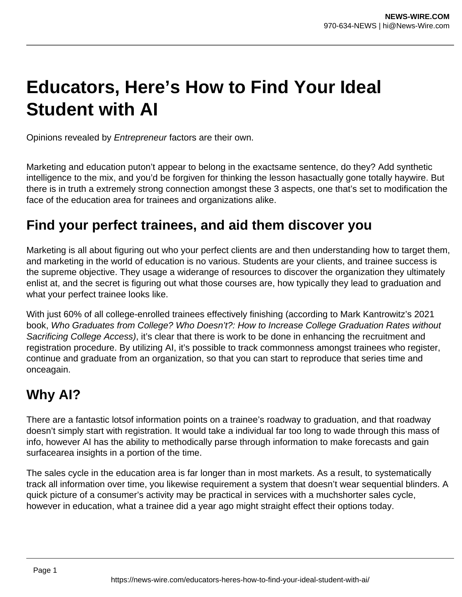# **Educators, Here's How to Find Your Ideal Student with AI**

Opinions revealed by Entrepreneur factors are their own.

Marketing and education puton't appear to belong in the exactsame sentence, do they? Add synthetic intelligence to the mix, and you'd be forgiven for thinking the lesson hasactually gone totally haywire. But there is in truth a extremely strong connection amongst these 3 aspects, one that's set to modification the face of the education area for trainees and organizations alike.

### **Find your perfect trainees, and aid them discover you**

Marketing is all about figuring out who your perfect clients are and then understanding how to target them, and marketing in the world of education is no various. Students are your clients, and trainee success is the supreme objective. They usage a widerange of resources to discover the organization they ultimately enlist at, and the secret is figuring out what those courses are, how typically they lead to graduation and what your perfect trainee looks like.

With just 60% of all college-enrolled trainees effectively finishing (according to Mark Kantrowitz's 2021 book, Who Graduates from College? Who Doesn't?: How to Increase College Graduation Rates without Sacrificing College Access), it's clear that there is work to be done in enhancing the recruitment and registration procedure. By utilizing AI, it's possible to track commonness amongst trainees who register, continue and graduate from an organization, so that you can start to reproduce that series time and onceagain.

## **Why AI?**

There are a fantastic lotsof information points on a trainee's roadway to graduation, and that roadway doesn't simply start with registration. It would take a individual far too long to wade through this mass of info, however AI has the ability to methodically parse through information to make forecasts and gain surfacearea insights in a portion of the time.

The sales cycle in the education area is far longer than in most markets. As a result, to systematically track all information over time, you likewise requirement a system that doesn't wear sequential blinders. A quick picture of a consumer's activity may be practical in services with a muchshorter sales cycle, however in education, what a trainee did a year ago might straight effect their options today.